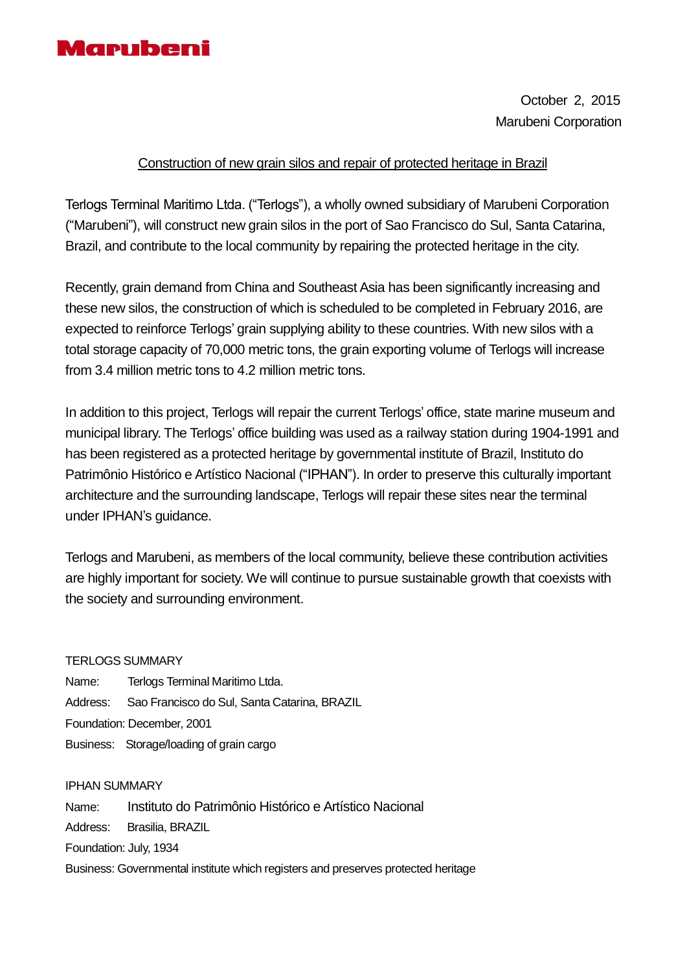

October 2, 2015 Marubeni Corporation

## Construction of new grain silos and repair of protected heritage in Brazil

Terlogs Terminal Maritimo Ltda. ("Terlogs"), a wholly owned subsidiary of Marubeni Corporation ("Marubeni"), will construct new grain silos in the port of Sao Francisco do Sul, Santa Catarina, Brazil, and contribute to the local community by repairing the protected heritage in the city.

Recently, grain demand from China and Southeast Asia has been significantly increasing and these new silos, the construction of which is scheduled to be completed in February 2016, are expected to reinforce Terlogs' grain supplying ability to these countries. With new silos with a total storage capacity of 70,000 metric tons, the grain exporting volume of Terlogs will increase from 3.4 million metric tons to 4.2 million metric tons.

In addition to this project, Terlogs will repair the current Terlogs' office, state marine museum and municipal library. The Terlogs' office building was used as a railway station during 1904-1991 and has been registered as a protected heritage by governmental institute of Brazil, Instituto do Patrimônio Histórico e Artístico Nacional ("IPHAN"). In order to preserve this culturally important architecture and the surrounding landscape, Terlogs will repair these sites near the terminal under IPHAN's guidance.

Terlogs and Marubeni, as members of the local community, believe these contribution activities are highly important for society. We will continue to pursue sustainable growth that coexists with the society and surrounding environment.

## TERLOGS SUMMARY

Name: Terlogs Terminal Maritimo Ltda. Address: Sao Francisco do Sul, Santa Catarina, BRAZIL Foundation: December, 2001 Business: Storage/loading of grain cargo

## IPHAN SUMMARY

Name: Instituto do Patrimônio Histórico e Artístico Nacional Address: Brasilia, BRAZIL Foundation: July, 1934 Business: Governmental institute which registers and preserves protected heritage